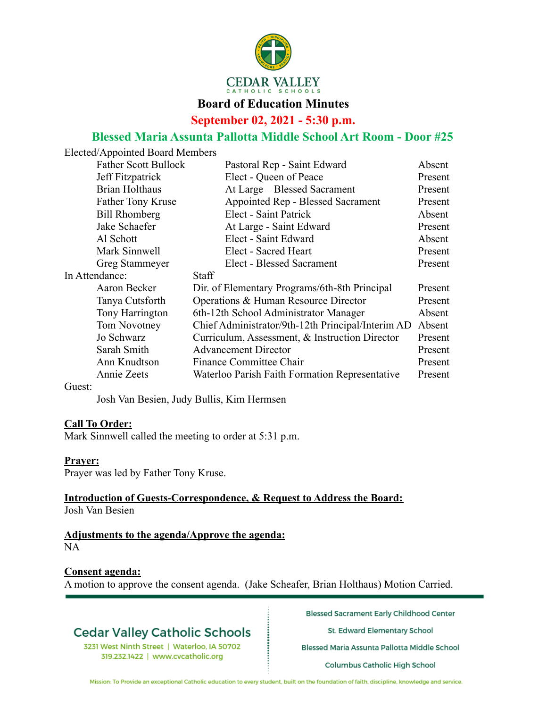

### **Board of Education Minutes**

**September 02, 2021 - 5:30 p.m.**

## **Blessed Maria Assunta Pallotta Middle School Art Room - Door #25**

|                | Elected/Appointed Board Members |                                                   |         |
|----------------|---------------------------------|---------------------------------------------------|---------|
|                | <b>Father Scott Bullock</b>     | Pastoral Rep - Saint Edward                       | Absent  |
|                | Jeff Fitzpatrick                | Elect - Queen of Peace                            | Present |
|                | <b>Brian Holthaus</b>           | At Large - Blessed Sacrament                      | Present |
|                | Father Tony Kruse               | Appointed Rep - Blessed Sacrament                 | Present |
|                | <b>Bill Rhomberg</b>            | Elect - Saint Patrick                             | Absent  |
|                | Jake Schaefer                   | At Large - Saint Edward                           | Present |
|                | Al Schott                       | Elect - Saint Edward                              | Absent  |
|                | Mark Sinnwell                   | Elect - Sacred Heart                              | Present |
|                | Greg Stammeyer                  | <b>Elect - Blessed Sacrament</b>                  | Present |
| In Attendance: |                                 | <b>Staff</b>                                      |         |
|                | Aaron Becker                    | Dir. of Elementary Programs/6th-8th Principal     | Present |
|                | Tanya Cutsforth                 | Operations & Human Resource Director              | Present |
|                | Tony Harrington                 | 6th-12th School Administrator Manager             | Absent  |
|                | Tom Novotney                    | Chief Administrator/9th-12th Principal/Interim AD | Absent  |
|                | Jo Schwarz                      | Curriculum, Assessment, & Instruction Director    | Present |
|                | Sarah Smith                     | <b>Advancement Director</b>                       | Present |
|                | Ann Knudtson                    | <b>Finance Committee Chair</b>                    | Present |
|                | Annie Zeets                     | Waterloo Parish Faith Formation Representative    | Present |
|                |                                 |                                                   |         |

Guest:

Josh Van Besien, Judy Bullis, Kim Hermsen

#### **Call To Order:**

Mark Sinnwell called the meeting to order at 5:31 p.m.

#### **Prayer:**

Prayer was led by Father Tony Kruse.

#### **Introduction of Guests-Correspondence, & Request to Address the Board:** Josh Van Besien

### **Adjustments to the agenda/Approve the agenda:**

NA

#### **Consent agenda:**

A motion to approve the consent agenda. (Jake Scheafer, Brian Holthaus) Motion Carried.

## **Cedar Valley Catholic Schools**

3231 West Ninth Street | Waterloo, IA 50702 319.232.1422 | www.cvcatholic.org

**Blessed Sacrament Early Childhood Center** 

St. Edward Elementary School

Blessed Maria Assunta Pallotta Middle School

Columbus Catholic High School

Mission: To Provide an exceptional Catholic education to every student, built on the foundation of faith, discipline, knowledge and service.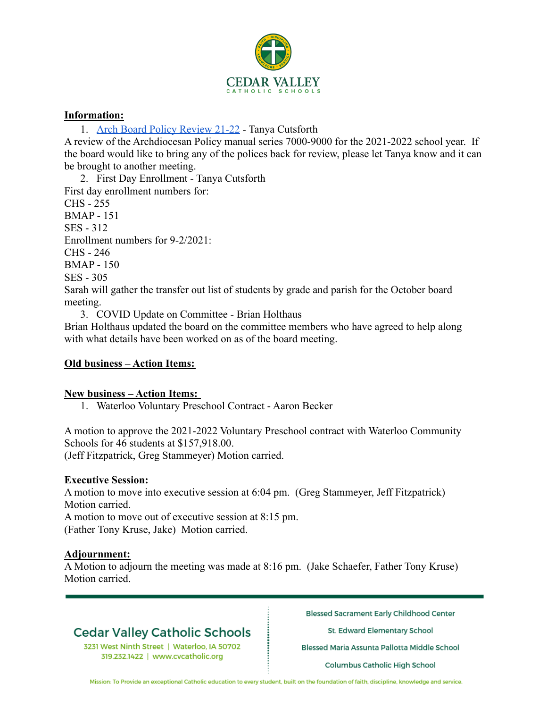

#### **Information:**

1. Arch Board Policy Review 21-22 - Tanya Cutsforth

A review of the Archdiocesan Policy manual series 7000-9000 for the 2021-2022 school year. If the board would like to bring any of the polices back for review, please let Tanya know and it can be brought to another meeting.

2. First Day Enrollment - Tanya Cutsforth First day enrollment numbers for: CHS - 255 BMAP - 151 SES - 312 Enrollment numbers for 9-2/2021: CHS - 246 BMAP - 150 SES - 305 Sarah will gather the transfer out list of students by grade and parish for the October board meeting.

3. COVID Update on Committee - Brian Holthaus

Brian Holthaus updated the board on the committee members who have agreed to help along with what details have been worked on as of the board meeting.

### **Old business – Action Items:**

#### **New business – Action Items:**

1. Waterloo Voluntary Preschool Contract - Aaron Becker

A motion to approve the 2021-2022 Voluntary Preschool contract with Waterloo Community Schools for 46 students at \$157,918.00. (Jeff Fitzpatrick, Greg Stammeyer) Motion carried.

#### **Executive Session:**

A motion to move into executive session at 6:04 pm. (Greg Stammeyer, Jeff Fitzpatrick) Motion carried.

A motion to move out of executive session at 8:15 pm. (Father Tony Kruse, Jake) Motion carried.

#### **Adjournment:**

A Motion to adjourn the meeting was made at 8:16 pm. (Jake Schaefer, Father Tony Kruse) Motion carried.

# **Cedar Valley Catholic Schools**

3231 West Ninth Street | Waterloo, IA 50702 319.232.1422 | www.cvcatholic.org

**Blessed Sacrament Early Childhood Center** 

St. Edward Elementary School

Blessed Maria Assunta Pallotta Middle School

Columbus Catholic High School

Mission: To Provide an exceptional Catholic education to every student, built on the foundation of faith, discipline, knowledge and service.